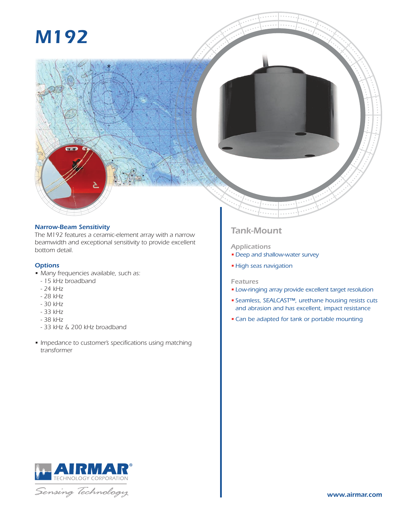# *M192*



# *Narrow-Beam Sensitivity*

*The M192 features a ceramic-element array with a narrow beamwidth and exceptional sensitivity to provide excellent bottom detail.*

# *Options*

- *• Many frequencies available, such as:*
- *15 kHz broadband*
- *24 kHz*
- *28 kHz*
- *30 kHz*
- *33 kHz*
- *38 kHz*
- *33 kHz & 200 kHz broadband*
- *• Impedance to customer's specifications using matching transformer*

# *Tank-Mount*

## *Applications*

- *• Deep and shallow-water survey*
- *• High seas navigation*

### *Features*

- *• Low-ringing array provide excellent target resolution*
- *• Seamless, SEALCAST™, urethane housing resists cuts and abrasion and has excellent, impact resistance*
- *•Can be adapted for tank or portable mounting*